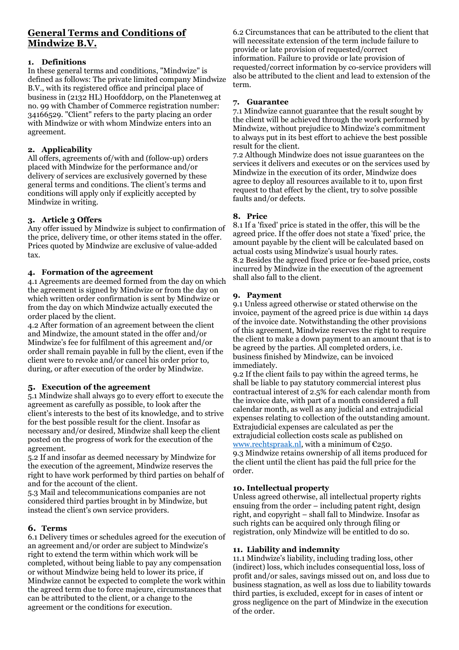# **General Terms and Conditions of Mindwize B.V.**

# **1. Definitions**

In these general terms and conditions, "Mindwize" is defined as follows: The private limited company Mindwize B.V., with its registered office and principal place of business in (2132 HL) Hoofddorp, on the Planetenweg at no. 99 with Chamber of Commerce registration number: 34166529. "Client" refers to the party placing an order with Mindwize or with whom Mindwize enters into an agreement.

# **2. Applicability**

All offers, agreements of/with and (follow-up) orders placed with Mindwize for the performance and/or delivery of services are exclusively governed by these general terms and conditions. The client's terms and conditions will apply only if explicitly accepted by Mindwize in writing.

# **3. Article 3 Offers**

Any offer issued by Mindwize is subject to confirmation of the price, delivery time, or other items stated in the offer. Prices quoted by Mindwize are exclusive of value-added tax.

## **4. Formation of the agreement**

4.1 Agreements are deemed formed from the day on which the agreement is signed by Mindwize or from the day on which written order confirmation is sent by Mindwize or from the day on which Mindwize actually executed the order placed by the client.

4.2 After formation of an agreement between the client and Mindwize, the amount stated in the offer and/or Mindwize's fee for fulfilment of this agreement and/or order shall remain payable in full by the client, even if the client were to revoke and/or cancel his order prior to, during, or after execution of the order by Mindwize.

# **5. Execution of the agreement**

5.1 Mindwize shall always go to every effort to execute the agreement as carefully as possible, to look after the client's interests to the best of its knowledge, and to strive for the best possible result for the client. Insofar as necessary and/or desired, Mindwize shall keep the client posted on the progress of work for the execution of the agreement.

5.2 If and insofar as deemed necessary by Mindwize for the execution of the agreement, Mindwize reserves the right to have work performed by third parties on behalf of and for the account of the client.

5.3 Mail and telecommunications companies are not considered third parties brought in by Mindwize, but instead the client's own service providers.

# **6. Terms**

6.1 Delivery times or schedules agreed for the execution of an agreement and/or order are subject to Mindwize's right to extend the term within which work will be completed, without being liable to pay any compensation or without Mindwize being held to lower its price, if Mindwize cannot be expected to complete the work within the agreed term due to force majeure, circumstances that can be attributed to the client, or a change to the agreement or the conditions for execution.

6.2 Circumstances that can be attributed to the client that will necessitate extension of the term include failure to provide or late provision of requested/correct information. Failure to provide or late provision of requested/correct information by co-service providers will also be attributed to the client and lead to extension of the term.

#### **7. Guarantee**

7.1 Mindwize cannot guarantee that the result sought by the client will be achieved through the work performed by Mindwize, without prejudice to Mindwize's commitment to always put in its best effort to achieve the best possible result for the client.

7.2 Although Mindwize does not issue guarantees on the services it delivers and executes or on the services used by Mindwize in the execution of its order, Mindwize does agree to deploy all resources available to it to, upon first request to that effect by the client, try to solve possible faults and/or defects.

## **8. Price**

8.1 If a 'fixed' price is stated in the offer, this will be the agreed price. If the offer does not state a 'fixed' price, the amount payable by the client will be calculated based on actual costs using Mindwize's usual hourly rates. 8.2 Besides the agreed fixed price or fee-based price, costs incurred by Mindwize in the execution of the agreement shall also fall to the client.

#### **9. Payment**

9.1 Unless agreed otherwise or stated otherwise on the invoice, payment of the agreed price is due within 14 days of the invoice date. Notwithstanding the other provisions of this agreement, Mindwize reserves the right to require the client to make a down payment to an amount that is to be agreed by the parties. All completed orders, i.e. business finished by Mindwize, can be invoiced immediately.

9.2 If the client fails to pay within the agreed terms, he shall be liable to pay statutory commercial interest plus contractual interest of 2.5% for each calendar month from the invoice date, with part of a month considered a full calendar month, as well as any judicial and extrajudicial expenses relating to collection of the outstanding amount. Extrajudicial expenses are calculated as per the extrajudicial collection costs scale as published on www.rechtspraak.nl, with a minimum of €250. 9.3 Mindwize retains ownership of all items produced for the client until the client has paid the full price for the order.

#### **10. Intellectual property**

Unless agreed otherwise, all intellectual property rights ensuing from the order – including patent right, design right, and copyright – shall fall to Mindwize. Insofar as such rights can be acquired only through filing or registration, only Mindwize will be entitled to do so.

#### **11. Liability and indemnity**

11.1 Mindwize's liability, including trading loss, other (indirect) loss, which includes consequential loss, loss of profit and/or sales, savings missed out on, and loss due to business stagnation, as well as loss due to liability towards third parties, is excluded, except for in cases of intent or gross negligence on the part of Mindwize in the execution of the order.